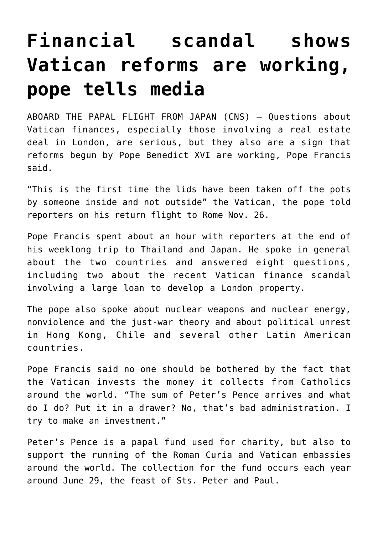## **[Financial scandal shows](https://www.osvnews.com/2019/11/26/financial-scandal-shows-vatican-reforms-are-working-pope-tells-media/) [Vatican reforms are working,](https://www.osvnews.com/2019/11/26/financial-scandal-shows-vatican-reforms-are-working-pope-tells-media/) [pope tells media](https://www.osvnews.com/2019/11/26/financial-scandal-shows-vatican-reforms-are-working-pope-tells-media/)**

ABOARD THE PAPAL FLIGHT FROM JAPAN (CNS) — Questions about Vatican finances, especially those involving a real estate deal in London, are serious, but they also are a sign that reforms begun by Pope Benedict XVI are working, Pope Francis said.

"This is the first time the lids have been taken off the pots by someone inside and not outside" the Vatican, the pope told reporters on his return flight to Rome Nov. 26.

Pope Francis spent about an hour with reporters at the end of his weeklong trip to Thailand and Japan. He spoke in general about the two countries and answered eight questions, including two about the recent Vatican finance scandal involving a large loan to develop a London property.

The pope also spoke about nuclear weapons and nuclear energy, nonviolence and the just-war theory and about political unrest in Hong Kong, Chile and several other Latin American countries.

Pope Francis said no one should be bothered by the fact that the Vatican invests the money it collects from Catholics around the world. "The sum of Peter's Pence arrives and what do I do? Put it in a drawer? No, that's bad administration. I try to make an investment."

Peter's Pence is a papal fund used for charity, but also to support the running of the Roman Curia and Vatican embassies around the world. The collection for the fund occurs each year around June 29, the feast of Sts. Peter and Paul.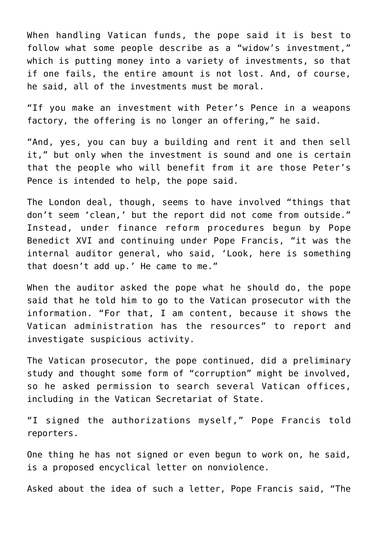When handling Vatican funds, the pope said it is best to follow what some people describe as a "widow's investment," which is putting money into a variety of investments, so that if one fails, the entire amount is not lost. And, of course, he said, all of the investments must be moral.

"If you make an investment with Peter's Pence in a weapons factory, the offering is no longer an offering," he said.

"And, yes, you can buy a building and rent it and then sell it," but only when the investment is sound and one is certain that the people who will benefit from it are those Peter's Pence is intended to help, the pope said.

The London deal, though, seems to have involved "things that don't seem 'clean,' but the report did not come from outside." Instead, under finance reform procedures begun by Pope Benedict XVI and continuing under Pope Francis, "it was the internal auditor general, who said, 'Look, here is something that doesn't add up.' He came to me."

When the auditor asked the pope what he should do, the pope said that he told him to go to the Vatican prosecutor with the information. "For that, I am content, because it shows the Vatican administration has the resources" to report and investigate suspicious activity.

The Vatican prosecutor, the pope continued, did a preliminary study and thought some form of "corruption" might be involved, so he asked permission to search several Vatican offices, including in the Vatican Secretariat of State.

"I signed the authorizations myself," Pope Francis told reporters.

One thing he has not signed or even begun to work on, he said, is a proposed encyclical letter on nonviolence.

Asked about the idea of such a letter, Pope Francis said, "The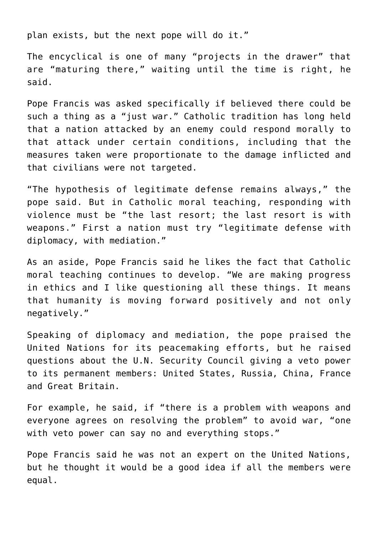plan exists, but the next pope will do it."

The encyclical is one of many "projects in the drawer" that are "maturing there," waiting until the time is right, he said.

Pope Francis was asked specifically if believed there could be such a thing as a "just war." Catholic tradition has long held that a nation attacked by an enemy could respond morally to that attack under certain conditions, including that the measures taken were proportionate to the damage inflicted and that civilians were not targeted.

"The hypothesis of legitimate defense remains always," the pope said. But in Catholic moral teaching, responding with violence must be "the last resort; the last resort is with weapons." First a nation must try "legitimate defense with diplomacy, with mediation."

As an aside, Pope Francis said he likes the fact that Catholic moral teaching continues to develop. "We are making progress in ethics and I like questioning all these things. It means that humanity is moving forward positively and not only negatively."

Speaking of diplomacy and mediation, the pope praised the United Nations for its peacemaking efforts, but he raised questions about the U.N. Security Council giving a veto power to its permanent members: United States, Russia, China, France and Great Britain.

For example, he said, if "there is a problem with weapons and everyone agrees on resolving the problem" to avoid war, "one with veto power can say no and everything stops."

Pope Francis said he was not an expert on the United Nations, but he thought it would be a good idea if all the members were equal.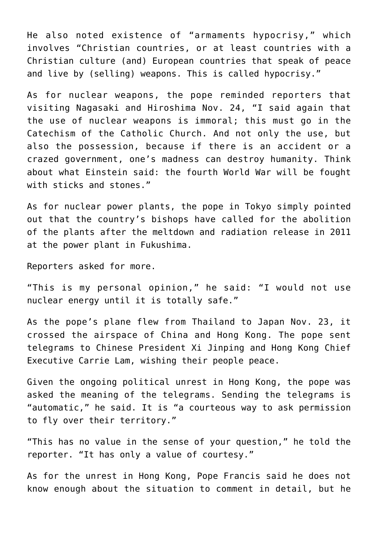He also noted existence of "armaments hypocrisy," which involves "Christian countries, or at least countries with a Christian culture (and) European countries that speak of peace and live by (selling) weapons. This is called hypocrisy."

As for nuclear weapons, the pope reminded reporters that visiting Nagasaki and Hiroshima Nov. 24, "I said again that the use of nuclear weapons is immoral; this must go in the Catechism of the Catholic Church. And not only the use, but also the possession, because if there is an accident or a crazed government, one's madness can destroy humanity. Think about what Einstein said: the fourth World War will be fought with sticks and stones."

As for nuclear power plants, the pope in Tokyo simply pointed out that the country's bishops have called for the abolition of the plants after the meltdown and radiation release in 2011 at the power plant in Fukushima.

Reporters asked for more.

"This is my personal opinion," he said: "I would not use nuclear energy until it is totally safe."

As the pope's plane flew from Thailand to Japan Nov. 23, it crossed the airspace of China and Hong Kong. The pope sent telegrams to Chinese President Xi Jinping and Hong Kong Chief Executive Carrie Lam, wishing their people peace.

Given the ongoing political unrest in Hong Kong, the pope was asked the meaning of the telegrams. Sending the telegrams is "automatic," he said. It is "a courteous way to ask permission to fly over their territory."

"This has no value in the sense of your question," he told the reporter. "It has only a value of courtesy."

As for the unrest in Hong Kong, Pope Francis said he does not know enough about the situation to comment in detail, but he